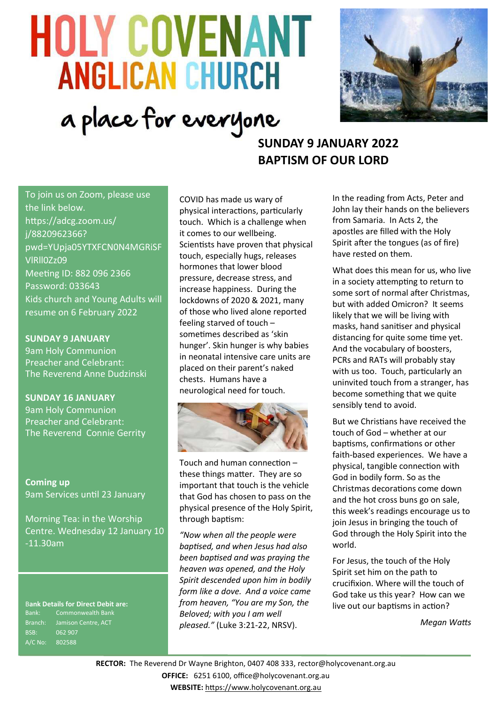# **HOLY COVENANT ANGLICAN CHURCH** a place for everyone



# **SUNDAY 9 JANUARY 2022 BAPTISM OF OUR LORD**

To join us on Zoom, please use the link below. https://adcg.zoom.us/ j/8820962366? pwd=YUpja05YTXFCN0N4MGRiSF VlRll0Zz09 Meeting ID: 882 096 2366 Password: 033643 Kids church and Young Adults will resume on 6 February 2022

**SUNDAY 9 JANUARY** 9am Holy Communion Preacher and Celebrant:

The Reverend Anne Dudzinski

**SUNDAY 16 JANUARY** 9am Holy Communion Preacher and Celebrant: The Reverend Connie Gerrity

**Coming up** 9am Services until 23 January

Morning Tea: in the Worship Centre. Wednesday 12 January 10 -11.30am

B**ank Details for Direct Debit are:** Bank: Commonwealth Bank Branch: Jamison Centre, ACT BSB: 062 907 A/C No: 802588

COVID has made us wary of physical interactions, particularly touch. Which is a challenge when it comes to our wellbeing. Scientists have proven that physical touch, especially hugs, releases hormones that lower blood pressure, decrease stress, and increase happiness. During the lockdowns of 2020 & 2021, many of those who lived alone reported feeling starved of touch – sometimes described as 'skin hunger'. Skin hunger is why babies in neonatal intensive care units are placed on their parent's naked chests. Humans have a neurological need for touch.



Touch and human connection – these things matter. They are so important that touch is the vehicle that God has chosen to pass on the physical presence of the Holy Spirit, through baptism:

*"Now when all the people were baptised, and when Jesus had also been baptised and was praying the heaven was opened, and the Holy Spirit descended upon him in bodily form like a dove. And a voice came from heaven, "You are my Son, the Beloved; with you I am well pleased."* (Luke 3:21-22, NRSV).

In the reading from Acts, Peter and John lay their hands on the believers from Samaria. In Acts 2, the apostles are filled with the Holy Spirit after the tongues (as of fire) have rested on them.

What does this mean for us, who live in a society attempting to return to some sort of normal after Christmas, but with added Omicron? It seems likely that we will be living with masks, hand sanitiser and physical distancing for quite some time yet. And the vocabulary of boosters, PCRs and RATs will probably stay with us too. Touch, particularly an uninvited touch from a stranger, has become something that we quite sensibly tend to avoid.

But we Christians have received the touch of God – whether at our baptisms, confirmations or other faith-based experiences. We have a physical, tangible connection with God in bodily form. So as the Christmas decorations come down and the hot cross buns go on sale, this week's readings encourage us to join Jesus in bringing the touch of God through the Holy Spirit into the world.

For Jesus, the touch of the Holy Spirit set him on the path to crucifixion. Where will the touch of God take us this year? How can we live out our baptisms in action?

*Megan Watts*

**RECTOR:** The Reverend Dr Wayne Brighton, 0407 408 333, [rector@holycovenant.org.au](mailto:rector@holycovenant.org.au) **OFFICE:** 6251 6100, office@holycovenant.org.au **WEBSITE:** [https://www.holycovenant.org.au](https://www.holycovenant.org.au/)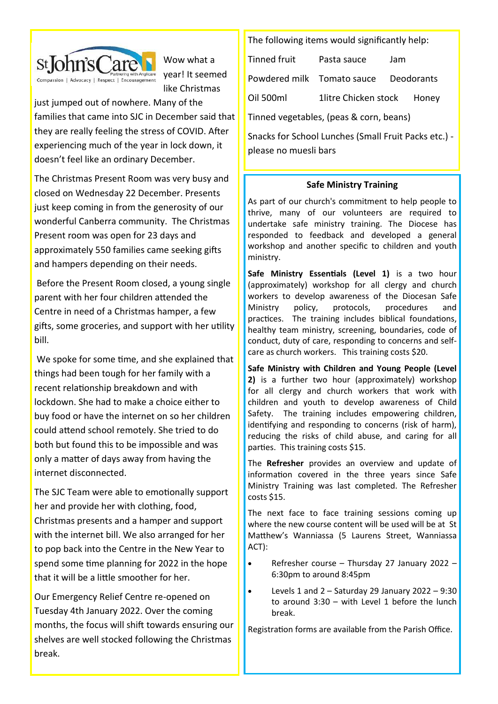

Wow what a year! It seemed like Christmas

just jumped out of nowhere. Many of the families that came into SJC in December said that they are really feeling the stress of COVID. After experiencing much of the year in lock down, it doesn't feel like an ordinary December.

The Christmas Present Room was very busy and closed on Wednesday 22 December. Presents just keep coming in from the generosity of our wonderful Canberra community. The Christmas Present room was open for 23 days and approximately 550 families came seeking gifts and hampers depending on their needs.

Before the Present Room closed, a young single parent with her four children attended the Centre in need of a Christmas hamper, a few gifts, some groceries, and support with her utility bill.

We spoke for some time, and she explained that things had been tough for her family with a recent relationship breakdown and with lockdown. She had to make a choice either to buy food or have the internet on so her children could attend school remotely. She tried to do both but found this to be impossible and was only a matter of days away from having the internet disconnected.

The SJC Team were able to emotionally support her and provide her with clothing, food, Christmas presents and a hamper and support with the internet bill. We also arranged for her to pop back into the Centre in the New Year to spend some time planning for 2022 in the hope that it will be a little smoother for her.

Our Emergency Relief Centre re-opened on Tuesday 4th January 2022. Over the coming months, the focus will shift towards ensuring our shelves are well stocked following the Christmas break.

The following items would significantly help:

Tinned fruit Pasta sauce Jam Powdered milk Tomato sauce Deodorants Oil 500ml 1litre Chicken stock Honey Tinned vegetables, (peas & corn, beans)

Snacks for School Lunches (Small Fruit Packs etc.) please no muesli bars

# **Safe Ministry Training**

As part of our church's commitment to help people to thrive, many of our volunteers are required to undertake safe ministry training. The Diocese has responded to feedback and developed a general workshop and another specific to children and youth ministry.

**Safe Ministry Essentials (Level 1)** is a two hour (approximately) workshop for all clergy and church workers to develop awareness of the Diocesan Safe Ministry policy, protocols, procedures and practices. The training includes biblical foundations, healthy team ministry, screening, boundaries, code of conduct, duty of care, responding to concerns and selfcare as church workers. This training costs \$20.

**Safe Ministry with Children and Young People (Level 2)** is a further two hour (approximately) workshop for all clergy and church workers that work with children and youth to develop awareness of Child Safety. The training includes empowering children, identifying and responding to concerns (risk of harm), reducing the risks of child abuse, and caring for all parties. This training costs \$15.

The **Refresher** provides an overview and update of information covered in the three years since Safe Ministry Training was last completed. The Refresher costs \$15.

The next face to face training sessions coming up where the new course content will be used will be at St Matthew's Wanniassa (5 Laurens Street, Wanniassa ACT):

- Refresher course Thursday 27 January 2022 6:30pm to around 8:45pm
- Levels 1 and  $2 -$  Saturday 29 January 2022 9:30 to around  $3:30 -$  with Level 1 before the lunch break.

Registration forms are available from the Parish Office.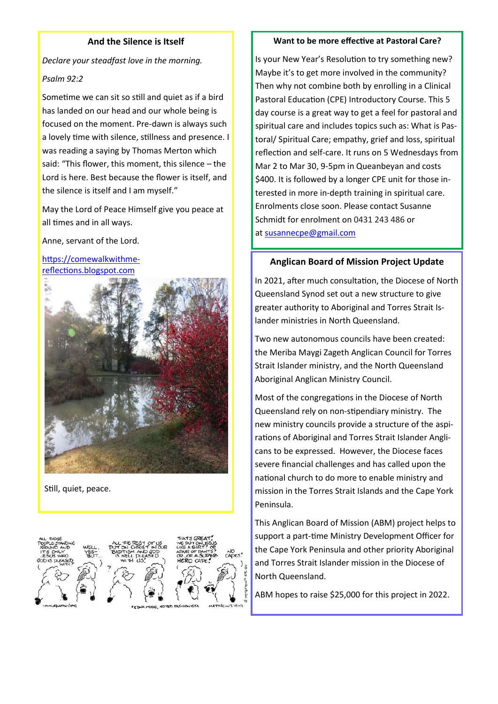## **And the Silence is Itself**

*Declare your steadfast love in the morning.* 

#### *Psalm 92:2*

Sometime we can sit so still and quiet as if a bird has landed on our head and our whole being is focused on the moment. Pre-dawn is always such a lovely time with silence, stillness and presence. I was reading a saying by Thomas Merton which said: "This flower, this moment, this silence – the Lord is here. Best because the flower is itself, and the silence is itself and I am myself."

May the Lord of Peace Himself give you peace at all times and in all ways.

Anne, servant of the Lord.

[https://comewalkwithme](https://comewalkwithme-reflections.blogspot.com)[reflections.blogspot.com](https://comewalkwithme-reflections.blogspot.com)



Still, quiet, peace.



#### **Want to be more effective at Pastoral Care?**

Is your New Year's Resolution to try something new? Maybe it's to get more involved in the community? Then why not combine both by enrolling in a Clinical Pastoral Education (CPE) Introductory Course. This 5 day course is a great way to get a feel for pastoral and spiritual care and includes topics such as: What is Pastoral/ Spiritual Care; empathy, grief and loss, spiritual reflection and self-care. It runs on 5 Wednesdays from Mar 2 to Mar 30, 9-5pm in Queanbeyan and costs \$400. It is followed by a longer CPE unit for those interested in more in-depth training in spiritual care. Enrolments close soon. Please contact Susanne Schmidt for enrolment on 0431 243 486 or at [susannecpe@gmail.com](mailto:susannecpe@gmail.com)

# **Anglican Board of Mission Project Update**

In 2021, after much consultation, the Diocese of North Queensland Synod set out a new structure to give greater authority to Aboriginal and Torres Strait Islander ministries in North Queensland.

Two new autonomous councils have been created: the Meriba Maygi Zageth Anglican Council for Torres Strait Islander ministry, and the North Queensland Aboriginal Anglican Ministry Council.

Most of the congregations in the Diocese of North Queensland rely on non-stipendiary ministry. The new ministry councils provide a structure of the aspirations of Aboriginal and Torres Strait Islander Anglicans to be expressed. However, the Diocese faces severe financial challenges and has called upon the national church to do more to enable ministry and mission in the Torres Strait Islands and the Cape York Peninsula.

This Anglican Board of Mission (ABM) project helps to support a part-time Ministry Development Officer for the Cape York Peninsula and other priority Aboriginal and Torres Strait Islander mission in the Diocese of North Queensland.

ABM hopes to raise \$25,000 for this project in 2022.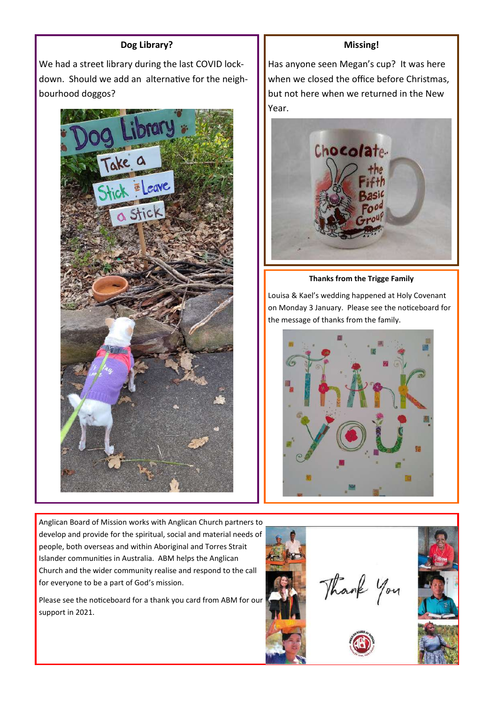## **Dog Library?**

We had a street library during the last COVID lockdown. Should we add an alternative for the neighbourhood doggos?



Anglican Board of Mission works with Anglican Church partners to develop and provide for the spiritual, social and material needs of people, both overseas and within Aboriginal and Torres Strait Islander communities in Australia. ABM helps the Anglican Church and the wider community realise and respond to the call for everyone to be a part of God's mission.

Please see the noticeboard for a thank you card from ABM for our support in 2021.

## **Missing!**

Has anyone seen Megan's cup? It was here when we closed the office before Christmas, but not here when we returned in the New Year.



**Thanks from the Trigge Family**

Louisa & Kael's wedding happened at Holy Covenant on Monday 3 January. Please see the noticeboard for the message of thanks from the family.